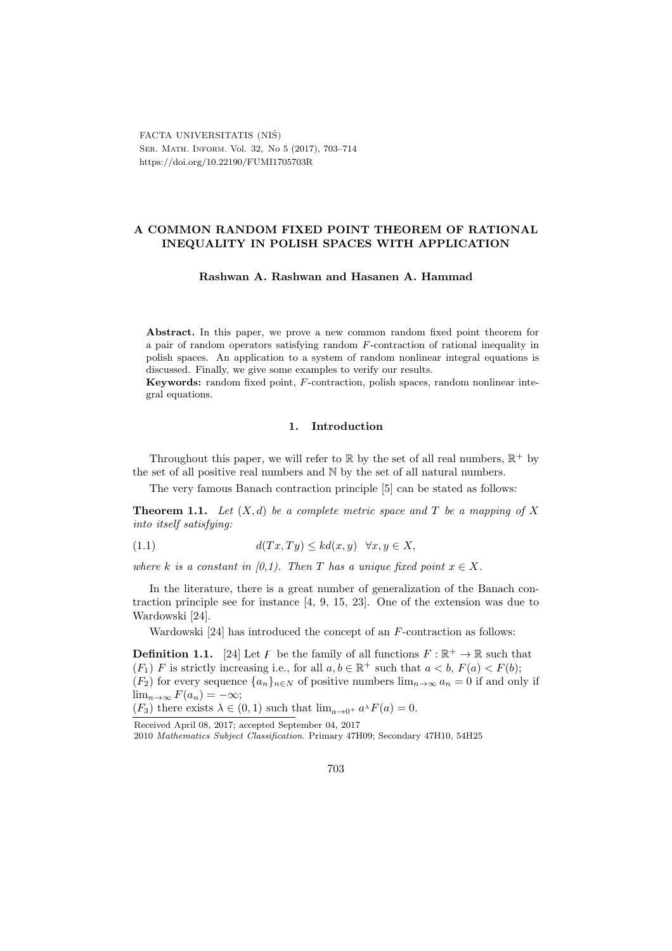FACTA UNIVERSITATIS (NIŠ) Ser. Math. Inform. Vol. 32, No 5 (2017), 703–714 https://doi.org/10.22190/FUMI1705703R

# A COMMON RANDOM FIXED POINT THEOREM OF RATIONAL INEQUALITY IN POLISH SPACES WITH APPLICATION

## Rashwan A. Rashwan and Hasanen A. Hammad

Abstract. In this paper, we prove a new common random fixed point theorem for a pair of random operators satisfying random F-contraction of rational inequality in polish spaces. An application to a system of random nonlinear integral equations is discussed. Finally, we give some examples to verify our results.

**Keywords:** random fixed point,  $F$ -contraction, polish spaces, random nonlinear integral equations.

### 1. Introduction

Throughout this paper, we will refer to  $\mathbb R$  by the set of all real numbers,  $\mathbb R^+$  by the set of all positive real numbers and N by the set of all natural numbers.

The very famous Banach contraction principle [5] can be stated as follows:

**Theorem 1.1.** Let  $(X, d)$  be a complete metric space and T be a mapping of X into itself satisfying:

(1.1)  $d(Tx, Ty) \leq kd(x, y) \quad \forall x, y \in X,$ 

where k is a constant in [0,1]. Then T has a unique fixed point  $x \in X$ .

In the literature, there is a great number of generalization of the Banach contraction principle see for instance [4, 9, 15, 23]. One of the extension was due to Wardowski [24].

Wardowski [24] has introduced the concept of an F-contraction as follows:

**Definition 1.1.** [24] Let F be the family of all functions  $F : \mathbb{R}^+ \to \mathbb{R}$  such that  $(F_1)$  F is strictly increasing i.e., for all  $a, b \in \mathbb{R}^+$  such that  $a < b$ ,  $F(a) < F(b)$ ;  $(F_2)$  for every sequence  $\{a_n\}_{n\in\mathbb{N}}$  of positive numbers  $\lim_{n\to\infty} a_n = 0$  if and only if  $\lim_{n\to\infty} F(a_n) = -\infty;$ 

 $(F_3)$  there exists  $\lambda \in (0,1)$  such that  $\lim_{a\to 0^+} a^{\lambda} F(a) = 0$ .

Received April 08, 2017; accepted September 04, 2017

2010 Mathematics Subject Classification. Primary 47H09; Secondary 47H10, 54H25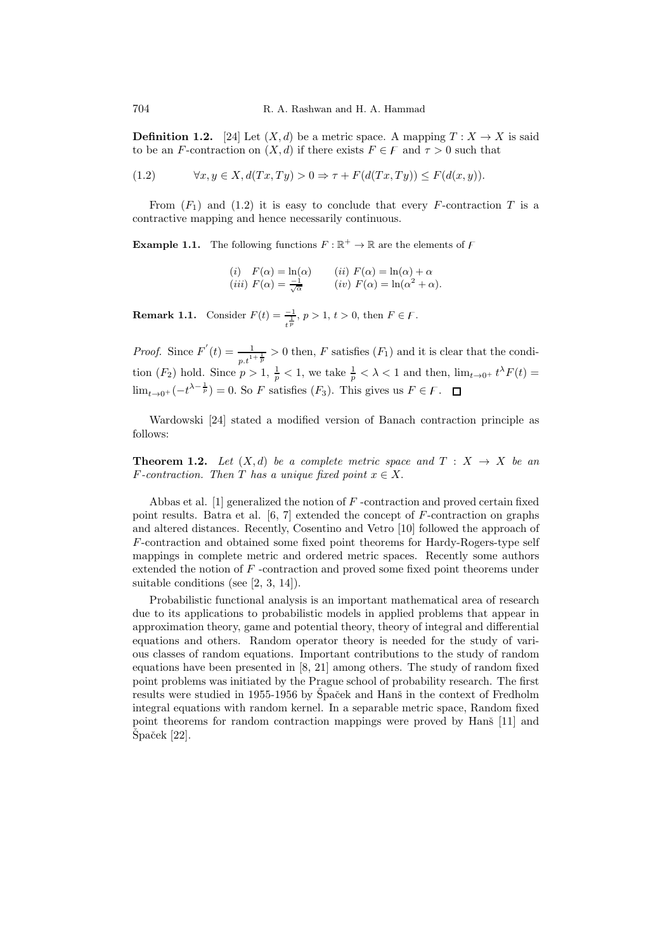**Definition 1.2.** [24] Let  $(X, d)$  be a metric space. A mapping  $T : X \to X$  is said to be an F-contraction on  $(X, d)$  if there exists  $F \in F$  and  $\tau > 0$  such that

$$
(1.2) \qquad \forall x, y \in X, d(Tx, Ty) > 0 \Rightarrow \tau + F(d(Tx, Ty)) \le F(d(x, y)).
$$

From  $(F_1)$  and  $(1.2)$  it is easy to conclude that every F-contraction T is a contractive mapping and hence necessarily continuous.

**Example 1.1.** The following functions  $F : \mathbb{R}^+ \to \mathbb{R}$  are the elements of  $F$ 

(i) 
$$
F(\alpha) = \ln(\alpha)
$$
 (ii)  $F(\alpha) = \ln(\alpha) + \alpha$   
(iii)  $F(\alpha) = \frac{-1}{\sqrt{\alpha}}$  (iv)  $F(\alpha) = \ln(\alpha^2 + \alpha)$ .

**Remark 1.1.** Consider  $F(t) = \frac{-1}{t^p}$ ,  $p > 1$ ,  $t > 0$ , then  $F \in F$ .

*Proof.* Since  $F'(t) = \frac{1}{p \cdot t^{1 + \frac{1}{p}}} > 0$  then, F satisfies  $(F_1)$  and it is clear that the condition  $(F_2)$  hold. Since  $p > 1$ ,  $\frac{1}{p} < 1$ , we take  $\frac{1}{p} < \lambda < 1$  and then,  $\lim_{t \to 0^+} t^{\lambda} F(t) =$  $\lim_{t\to 0^+} (-t^{\lambda - \frac{1}{p}}) = 0$ . So F satisfies  $(F_3)$ . This gives us  $F \in F$ .

Wardowski [24] stated a modified version of Banach contraction principle as follows:

**Theorem 1.2.** Let  $(X,d)$  be a complete metric space and  $T : X \rightarrow X$  be an F-contraction. Then T has a unique fixed point  $x \in X$ .

Abbas et al.  $[1]$  generalized the notion of  $F$  -contraction and proved certain fixed point results. Batra et al. [6, 7] extended the concept of F-contraction on graphs and altered distances. Recently, Cosentino and Vetro [10] followed the approach of F-contraction and obtained some fixed point theorems for Hardy-Rogers-type self mappings in complete metric and ordered metric spaces. Recently some authors extended the notion of F -contraction and proved some fixed point theorems under suitable conditions (see [2, 3, 14]).

Probabilistic functional analysis is an important mathematical area of research due to its applications to probabilistic models in applied problems that appear in approximation theory, game and potential theory, theory of integral and differential equations and others. Random operator theory is needed for the study of various classes of random equations. Important contributions to the study of random equations have been presented in [8, 21] among others. The study of random fixed point problems was initiated by the Prague school of probability research. The first results were studied in 1955-1956 by Spaček and Hanš in the context of Fredholm integral equations with random kernel. In a separable metric space, Random fixed point theorems for random contraction mappings were proved by Hanš [11] and  $\mathrm{Spa\check{c}ek}$  [22].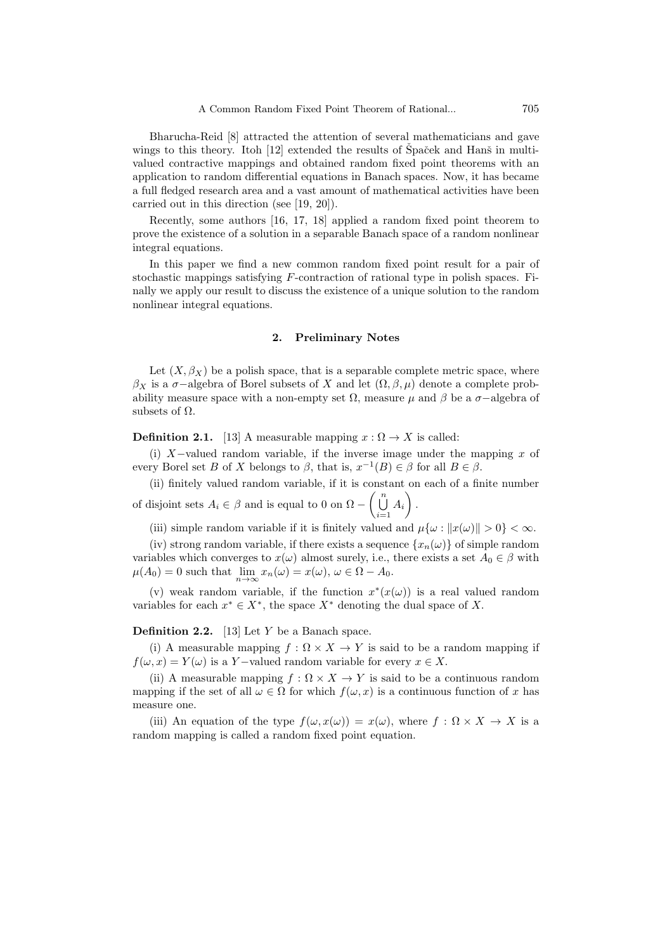## A Common Random Fixed Point Theorem of Rational... 705

Bharucha-Reid [8] attracted the attention of several mathematicians and gave wings to this theory. Itoh  $[12]$  extended the results of Spaček and Hanš in multivalued contractive mappings and obtained random fixed point theorems with an application to random differential equations in Banach spaces. Now, it has became a full fledged research area and a vast amount of mathematical activities have been carried out in this direction (see [19, 20]).

Recently, some authors [16, 17, 18] applied a random fixed point theorem to prove the existence of a solution in a separable Banach space of a random nonlinear integral equations.

In this paper we find a new common random fixed point result for a pair of stochastic mappings satisfying F-contraction of rational type in polish spaces. Finally we apply our result to discuss the existence of a unique solution to the random nonlinear integral equations.

### 2. Preliminary Notes

Let  $(X, \beta_X)$  be a polish space, that is a separable complete metric space, where  $\beta_X$  is a  $\sigma$ -algebra of Borel subsets of X and let  $(\Omega, \beta, \mu)$  denote a complete probability measure space with a non-empty set  $\Omega$ , measure  $\mu$  and  $\beta$  be a  $\sigma$ -algebra of subsets of  $\Omega$ .

**Definition 2.1.** [13] A measurable mapping  $x : \Omega \to X$  is called:

(i)  $X$ -valued random variable, if the inverse image under the mapping x of every Borel set B of X belongs to  $\beta$ , that is,  $x^{-1}(B) \in \beta$  for all  $B \in \beta$ .

(ii) finitely valued random variable, if it is constant on each of a finite number of disjoint sets  $A_i \in \beta$  and is equal to 0 on  $\Omega - \left(\bigcup_{i=1}^{n} A_i\right)$  $\bigcup_{i=1}^n A_i\bigg).$ 

(iii) simple random variable if it is finitely valued and  $\mu\{\omega : ||x(\omega)|| > 0\} < \infty$ .

(iv) strong random variable, if there exists a sequence  $\{x_n(\omega)\}\$  of simple random variables which converges to  $x(\omega)$  almost surely, i.e., there exists a set  $A_0 \in \beta$  with  $\mu(A_0) = 0$  such that  $\lim_{n \to \infty} x_n(\omega) = x(\omega), \omega \in \Omega - A_0.$ 

(v) weak random variable, if the function  $x^*(x(\omega))$  is a real valued random variables for each  $x^* \in X^*$ , the space  $X^*$  denoting the dual space of X.

## **Definition 2.2.** [13] Let  $Y$  be a Banach space.

(i) A measurable mapping  $f : \Omega \times X \to Y$  is said to be a random mapping if  $f(\omega, x) = Y(\omega)$  is a Y -valued random variable for every  $x \in X$ .

(ii) A measurable mapping  $f : \Omega \times X \to Y$  is said to be a continuous random mapping if the set of all  $\omega \in \Omega$  for which  $f(\omega, x)$  is a continuous function of x has measure one.

(iii) An equation of the type  $f(\omega, x(\omega)) = x(\omega)$ , where  $f : \Omega \times X \to X$  is a random mapping is called a random fixed point equation.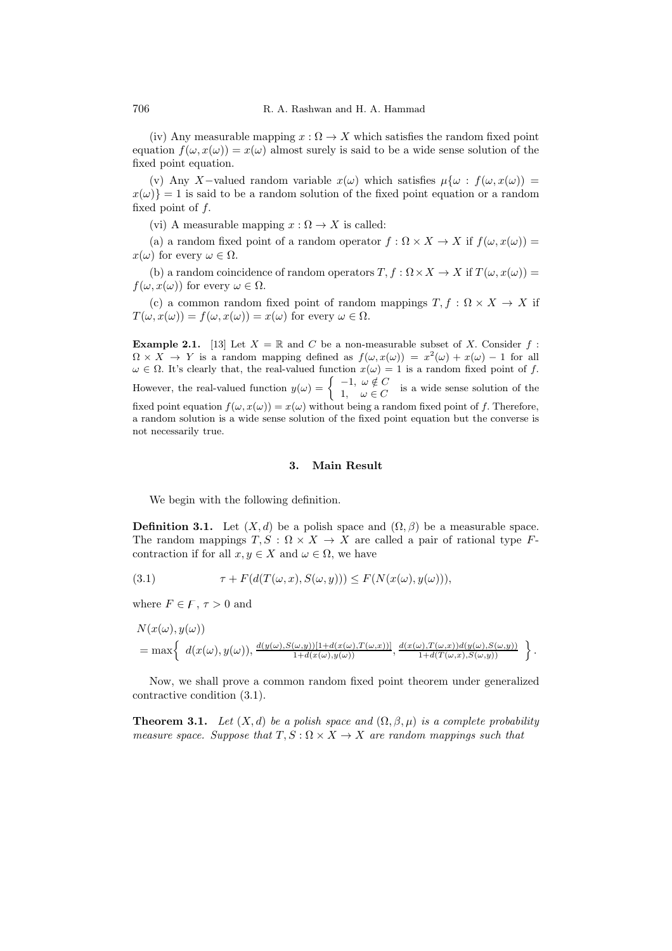(iv) Any measurable mapping  $x : \Omega \to X$  which satisfies the random fixed point equation  $f(\omega, x(\omega)) = x(\omega)$  almost surely is said to be a wide sense solution of the fixed point equation.

(v) Any X-valued random variable  $x(\omega)$  which satisfies  $\mu\{\omega : f(\omega, x(\omega)) =$  $x(\omega)$  = 1 is said to be a random solution of the fixed point equation or a random fixed point of f.

(vi) A measurable mapping  $x : \Omega \to X$  is called:

(a) a random fixed point of a random operator  $f: \Omega \times X \to X$  if  $f(\omega, x(\omega)) =$  $x(\omega)$  for every  $\omega \in \Omega$ .

(b) a random coincidence of random operators  $T, f : \Omega \times X \to X$  if  $T(\omega, x(\omega)) =$  $f(\omega, x(\omega))$  for every  $\omega \in \Omega$ .

(c) a common random fixed point of random mappings  $T, f : \Omega \times X \to X$  if  $T(\omega, x(\omega)) = f(\omega, x(\omega)) = x(\omega)$  for every  $\omega \in \Omega$ .

**Example 2.1.** [13] Let  $X = \mathbb{R}$  and C be a non-measurable subset of X. Consider f:  $\Omega \times X \to Y$  is a random mapping defined as  $f(\omega, x(\omega)) = x^2(\omega) + x(\omega) - 1$  for all  $\omega \in \Omega$ . It's clearly that, the real-valued function  $x(\omega) = 1$  is a random fixed point of f. However, the real-valued function  $y(\omega) = \begin{cases} -1, & \omega \notin C \\ 1, & \omega \in C \end{cases}$ 1,  $\omega \in C$  is a wide sense solution of the fixed point equation  $f(\omega, x(\omega)) = x(\omega)$  without being a random fixed point of f. Therefore, a random solution is a wide sense solution of the fixed point equation but the converse is not necessarily true.

## 3. Main Result

We begin with the following definition.

**Definition 3.1.** Let  $(X, d)$  be a polish space and  $(\Omega, \beta)$  be a measurable space. The random mappings  $T, S : \Omega \times X \to X$  are called a pair of rational type Fcontraction if for all  $x, y \in X$  and  $\omega \in \Omega$ , we have

(3.1) 
$$
\tau + F(d(T(\omega, x), S(\omega, y))) \leq F(N(x(\omega), y(\omega))),
$$

where  $F \in F$ ,  $\tau > 0$  and

$$
N(x(\omega), y(\omega)) = \max \left\{ d(x(\omega), y(\omega)), \frac{d(y(\omega), S(\omega, y))[1+d(x(\omega), T(\omega, x))]}{1+d(x(\omega), y(\omega))}, \frac{d(x(\omega), T(\omega, x))d(y(\omega), S(\omega, y))}{1+d(T(\omega, x), S(\omega, y))} \right\}.
$$

Now, we shall prove a common random fixed point theorem under generalized contractive condition (3.1).

**Theorem 3.1.** Let  $(X, d)$  be a polish space and  $(\Omega, \beta, \mu)$  is a complete probability measure space. Suppose that  $T, S: \Omega \times X \rightarrow X$  are random mappings such that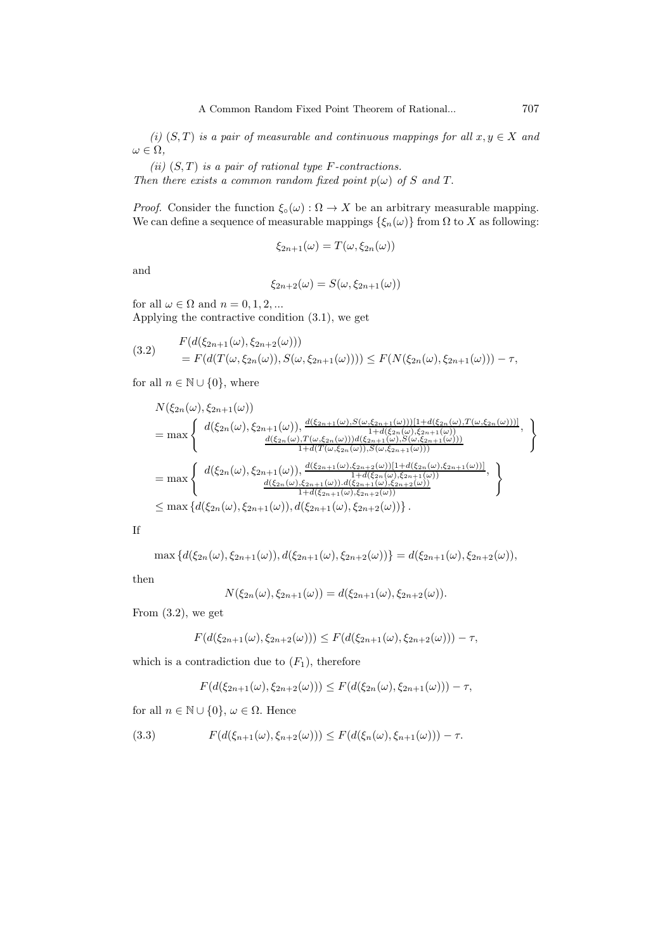(i)  $(S, T)$  is a pair of measurable and continuous mappings for all  $x, y \in X$  and  $\omega \in \Omega,$ 

(ii)  $(S, T)$  is a pair of rational type F-contractions. Then there exists a common random fixed point  $p(\omega)$  of S and T.

*Proof.* Consider the function  $\xi_0(\omega)$ :  $\Omega \to X$  be an arbitrary measurable mapping. We can define a sequence of measurable mappings  $\{\xi_n(\omega)\}\$  from  $\Omega$  to X as following:

$$
\xi_{2n+1}(\omega) = T(\omega, \xi_{2n}(\omega))
$$

and

$$
\xi_{2n+2}(\omega) = S(\omega, \xi_{2n+1}(\omega))
$$

for all  $\omega \in \Omega$  and  $n = 0, 1, 2, ...$ 

Applying the contractive condition (3.1), we get

$$
(3.2) \qquad \begin{aligned} F(d(\xi_{2n+1}(\omega), \xi_{2n+2}(\omega))) \\ &= F(d(T(\omega, \xi_{2n}(\omega)), S(\omega, \xi_{2n+1}(\omega)))) \le F(N(\xi_{2n}(\omega), \xi_{2n+1}(\omega))) - \tau, \end{aligned}
$$

for all  $n \in \mathbb{N} \cup \{0\}$ , where

$$
N(\xi_{2n}(\omega), \xi_{2n+1}(\omega)) = \max \left\{ \begin{array}{c} d(\xi_{2n}(\omega), \xi_{2n+1}(\omega)), \frac{d(\xi_{2n+1}(\omega), S(\omega, \xi_{2n+1}(\omega)))[1+d(\xi_{2n}(\omega), T(\omega, \xi_{2n}(\omega)))]}{1+d(\xi_{2n}(\omega), \xi_{2n+1}(\omega))}, \\ \frac{d(\xi_{2n}(\omega), T(\omega, \xi_{2n}(\omega))d(\xi_{2n+1}(\omega), S(\omega, \xi_{2n+1}(\omega)))}{1+d(T(\omega, \xi_{2n}(\omega)), S(\omega, \xi_{2n+1}(\omega)))} \\ = \max \left\{ \begin{array}{c} d(\xi_{2n}(\omega), \xi_{2n+1}(\omega)), \frac{d(\xi_{2n+1}(\omega), \xi_{2n+2}(\omega))[1+d(\xi_{2n}(\omega), \xi_{2n+1}(\omega))]}{1+d(\xi_{2n}(\omega), \xi_{2n+1}(\omega))}, \\ \frac{d(\xi_{2n}(\omega), \xi_{2n+1}(\omega))d(\xi_{2n+1}(\omega), \xi_{2n+2}(\omega))}{1+d(\xi_{2n+1}(\omega), \xi_{2n+2}(\omega))} \end{array} \right\}
$$
  

$$
\leq \max \left\{ d(\xi_{2n}(\omega), \xi_{2n+1}(\omega)), d(\xi_{2n+1}(\omega), \xi_{2n+2}(\omega)) \right\}.
$$

If

$$
\max\{d(\xi_{2n}(\omega),\xi_{2n+1}(\omega)),d(\xi_{2n+1}(\omega),\xi_{2n+2}(\omega))\}=d(\xi_{2n+1}(\omega),\xi_{2n+2}(\omega)),
$$

then

$$
N(\xi_{2n}(\omega), \xi_{2n+1}(\omega)) = d(\xi_{2n+1}(\omega), \xi_{2n+2}(\omega)).
$$

From  $(3.2)$ , we get

$$
F(d(\xi_{2n+1}(\omega), \xi_{2n+2}(\omega))) \leq F(d(\xi_{2n+1}(\omega), \xi_{2n+2}(\omega))) - \tau,
$$

which is a contradiction due to  $(F_1)$ , therefore

$$
F(d(\xi_{2n+1}(\omega), \xi_{2n+2}(\omega))) \leq F(d(\xi_{2n}(\omega), \xi_{2n+1}(\omega))) - \tau,
$$

for all  $n \in \mathbb{N} \cup \{0\}, \omega \in \Omega$ . Hence

(3.3) 
$$
F(d(\xi_{n+1}(\omega), \xi_{n+2}(\omega))) \leq F(d(\xi_n(\omega), \xi_{n+1}(\omega))) - \tau.
$$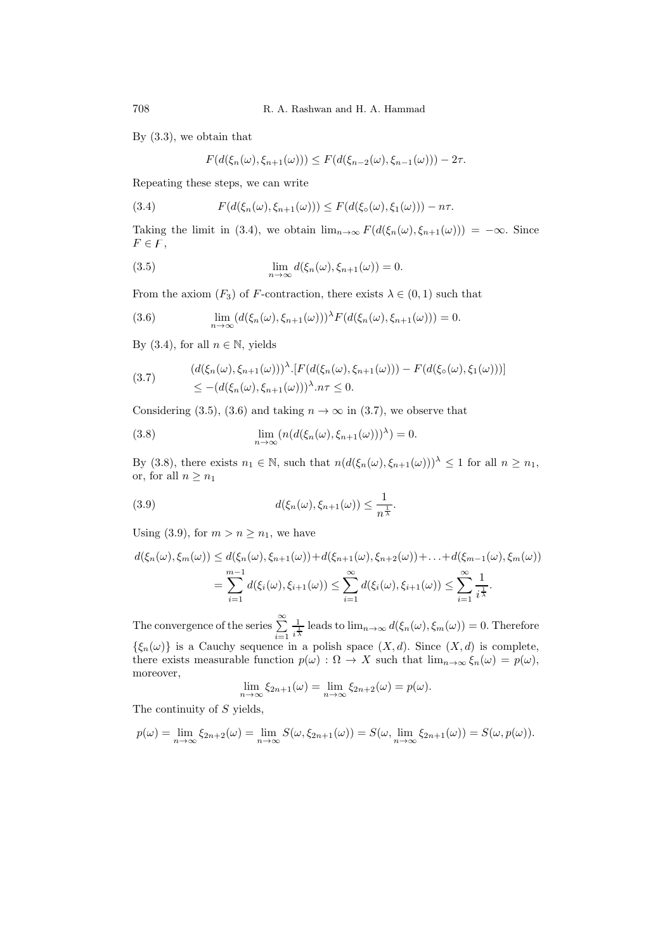By (3.3), we obtain that

$$
F(d(\xi_n(\omega), \xi_{n+1}(\omega))) \leq F(d(\xi_{n-2}(\omega), \xi_{n-1}(\omega))) - 2\tau.
$$

Repeating these steps, we can write

(3.4) 
$$
F(d(\xi_n(\omega), \xi_{n+1}(\omega))) \leq F(d(\xi_o(\omega), \xi_1(\omega))) - n\tau.
$$

Taking the limit in (3.4), we obtain  $\lim_{n\to\infty} F(d(\xi_n(\omega), \xi_{n+1}(\omega))) = -\infty$ . Since  $F \in F$ ,

(3.5) 
$$
\lim_{n \to \infty} d(\xi_n(\omega), \xi_{n+1}(\omega)) = 0.
$$

From the axiom  $(F_3)$  of F-contraction, there exists  $\lambda \in (0,1)$  such that

(3.6) 
$$
\lim_{n\to\infty} (d(\xi_n(\omega), \xi_{n+1}(\omega)))^{\lambda} F(d(\xi_n(\omega), \xi_{n+1}(\omega))) = 0.
$$

By (3.4), for all  $n \in \mathbb{N}$ , yields

(3.7) 
$$
\begin{aligned} (d(\xi_n(\omega), \xi_{n+1}(\omega)))^{\lambda} \cdot [F(d(\xi_n(\omega), \xi_{n+1}(\omega))) - F(d(\xi_o(\omega), \xi_1(\omega)))] \\ \leq -(d(\xi_n(\omega), \xi_{n+1}(\omega)))^{\lambda} . n\tau \leq 0. \end{aligned}
$$

Considering (3.5), (3.6) and taking  $n \to \infty$  in (3.7), we observe that

(3.8) 
$$
\lim_{n \to \infty} (n(d(\xi_n(\omega), \xi_{n+1}(\omega)))^{\lambda}) = 0.
$$

By (3.8), there exists  $n_1 \in \mathbb{N}$ , such that  $n(d(\xi_n(\omega), \xi_{n+1}(\omega)))^{\lambda} \leq 1$  for all  $n \geq n_1$ , or, for all  $n \geq n_1$ 

(3.9) 
$$
d(\xi_n(\omega), \xi_{n+1}(\omega)) \leq \frac{1}{n^{\frac{1}{\lambda}}}.
$$

Using (3.9), for  $m > n \geq n_1$ , we have

$$
d(\xi_n(\omega), \xi_m(\omega)) \leq d(\xi_n(\omega), \xi_{n+1}(\omega)) + d(\xi_{n+1}(\omega), \xi_{n+2}(\omega)) + \ldots + d(\xi_{m-1}(\omega), \xi_m(\omega))
$$
  
= 
$$
\sum_{i=1}^{m-1} d(\xi_i(\omega), \xi_{i+1}(\omega)) \leq \sum_{i=1}^{\infty} d(\xi_i(\omega), \xi_{i+1}(\omega)) \leq \sum_{i=1}^{\infty} \frac{1}{i^{\frac{1}{\lambda}}}.
$$

The convergence of the series  $\sum^{\infty}$  $i=1$ 1  $\frac{1}{i^{\frac{1}{\lambda}}}$  leads to  $\lim_{n\to\infty} d(\xi_n(\omega), \xi_m(\omega)) = 0$ . Therefore  $\{\xi_n(\omega)\}\$ is a Cauchy sequence in a polish space  $(X, d)$ . Since  $(X, d)$  is complete, there exists measurable function  $p(\omega)$ :  $\Omega \to X$  such that  $\lim_{n\to\infty} \xi_n(\omega) = p(\omega)$ , moreover,

$$
\lim_{n \to \infty} \xi_{2n+1}(\omega) = \lim_{n \to \infty} \xi_{2n+2}(\omega) = p(\omega).
$$

The continuity of S yields,

$$
p(\omega) = \lim_{n \to \infty} \xi_{2n+2}(\omega) = \lim_{n \to \infty} S(\omega, \xi_{2n+1}(\omega)) = S(\omega, \lim_{n \to \infty} \xi_{2n+1}(\omega)) = S(\omega, p(\omega)).
$$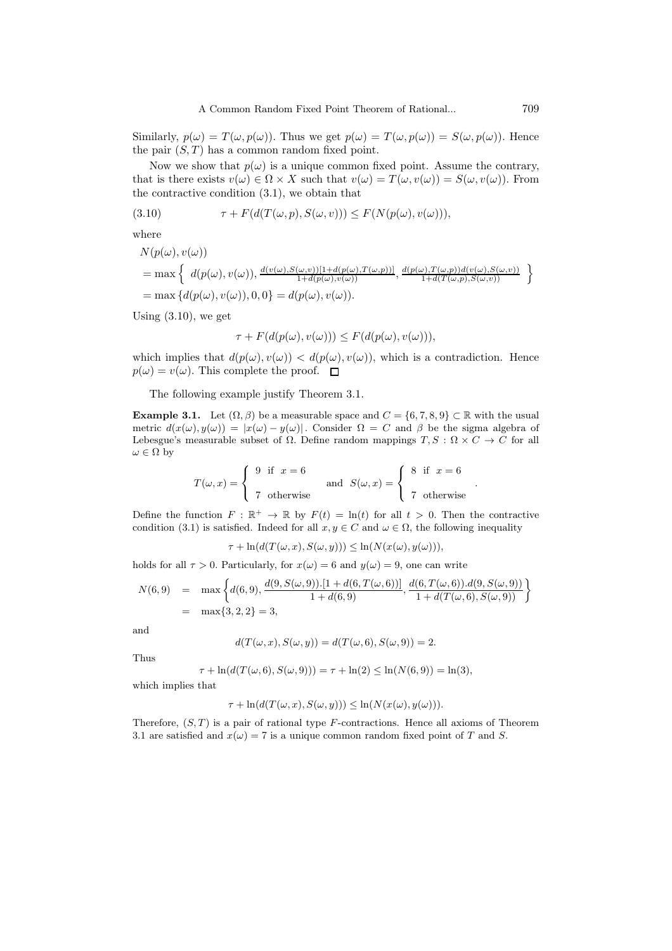Similarly,  $p(\omega) = T(\omega, p(\omega))$ . Thus we get  $p(\omega) = T(\omega, p(\omega)) = S(\omega, p(\omega))$ . Hence the pair  $(S, T)$  has a common random fixed point.

Now we show that  $p(\omega)$  is a unique common fixed point. Assume the contrary, that is there exists  $v(\omega) \in \Omega \times X$  such that  $v(\omega) = T(\omega, v(\omega)) = S(\omega, v(\omega))$ . From the contractive condition (3.1), we obtain that

(3.10) 
$$
\tau + F(d(T(\omega, p), S(\omega, v))) \leq F(N(p(\omega), v(\omega))),
$$

where

$$
N(p(\omega), v(\omega))
$$
  
= max  $\left\{ d(p(\omega), v(\omega)), \frac{d(v(\omega), S(\omega, v))[1+d(p(\omega), T(\omega, p))]}{1+d(p(\omega), v(\omega))}, \frac{d(p(\omega), T(\omega, p))d(v(\omega), S(\omega, v))}{1+d(T(\omega, p), S(\omega, v))} \right\}$   
= max  $\left\{ d(p(\omega), v(\omega)), 0, 0 \right\} = d(p(\omega), v(\omega)).$ 

Using  $(3.10)$ , we get

$$
\tau + F(d(p(\omega), v(\omega))) \leq F(d(p(\omega), v(\omega))),
$$

which implies that  $d(p(\omega), v(\omega)) < d(p(\omega), v(\omega))$ , which is a contradiction. Hence  $p(\omega) = v(\omega)$ . This complete the proof.  $\Box$ 

The following example justify Theorem 3.1.

**Example 3.1.** Let  $(\Omega, \beta)$  be a measurable space and  $C = \{6, 7, 8, 9\} \subset \mathbb{R}$  with the usual metric  $d(x(\omega), y(\omega)) = |x(\omega) - y(\omega)|$ . Consider  $\Omega = C$  and  $\beta$  be the sigma algebra of Lebesgue's measurable subset of  $\Omega$ . Define random mappings  $T, S : \Omega \times C \to C$  for all  $\omega \in \Omega$  by

$$
T(\omega, x) = \begin{cases} 9 & \text{if } x = 6 \\ 7 & \text{otherwise} \end{cases} \quad \text{and} \quad S(\omega, x) = \begin{cases} 8 & \text{if } x = 6 \\ 7 & \text{otherwise} \end{cases}
$$

Define the function  $F : \mathbb{R}^+ \to \mathbb{R}$  by  $F(t) = \ln(t)$  for all  $t > 0$ . Then the contractive condition (3.1) is satisfied. Indeed for all  $x, y \in C$  and  $\omega \in \Omega$ , the following inequality

$$
\tau + \ln(d(T(\omega, x), S(\omega, y))) \leq \ln(N(x(\omega), y(\omega))),
$$

holds for all  $\tau > 0$ . Particularly, for  $x(\omega) = 6$  and  $y(\omega) = 9$ , one can write

$$
N(6,9) = \max \left\{ d(6,9), \frac{d(9, S(\omega, 9)) \cdot [1 + d(6, T(\omega, 6))]}{1 + d(6,9)}, \frac{d(6, T(\omega, 6)) \cdot d(9, S(\omega, 9))}{1 + d(T(\omega, 6), S(\omega, 9))} \right\}
$$
  
=  $\max\{3, 2, 2\} = 3,$ 

and

$$
d(T(\omega, x), S(\omega, y)) = d(T(\omega, 6), S(\omega, 9)) = 2.
$$

Thus

$$
\tau + \ln(d(T(\omega, 6), S(\omega, 9))) = \tau + \ln(2) \le \ln(N(6, 9)) = \ln(3),
$$

which implies that

$$
\tau + \ln(d(T(\omega, x), S(\omega, y))) \leq \ln(N(x(\omega), y(\omega))).
$$

Therefore,  $(S, T)$  is a pair of rational type F-contractions. Hence all axioms of Theorem 3.1 are satisfied and  $x(\omega) = 7$  is a unique common random fixed point of T and S.

.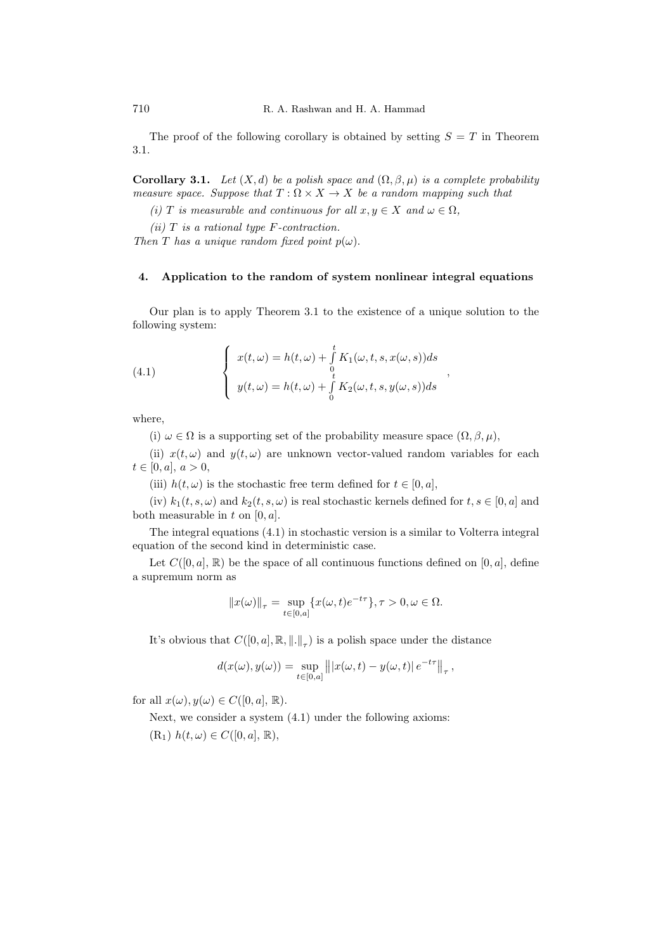The proof of the following corollary is obtained by setting  $S = T$  in Theorem 3.1.

Corollary 3.1. Let  $(X, d)$  be a polish space and  $(\Omega, \beta, \mu)$  is a complete probability measure space. Suppose that  $T : \Omega \times X \to X$  be a random mapping such that

(i) T is measurable and continuous for all  $x, y \in X$  and  $\omega \in \Omega$ ,

(ii)  $T$  is a rational type  $F$ -contraction.

Then T has a unique random fixed point  $p(\omega)$ .

## 4. Application to the random of system nonlinear integral equations

Our plan is to apply Theorem 3.1 to the existence of a unique solution to the following system:

(4.1) 
$$
\begin{cases} x(t,\omega) = h(t,\omega) + \int_{0}^{t} K_1(\omega,t,s,x(\omega,s))ds \\ y(t,\omega) = h(t,\omega) + \int_{0}^{t} K_2(\omega,t,s,y(\omega,s))ds \end{cases}
$$

where,

(i)  $\omega \in \Omega$  is a supporting set of the probability measure space  $(\Omega, \beta, \mu)$ ,

(ii)  $x(t, \omega)$  and  $y(t, \omega)$  are unknown vector-valued random variables for each  $t \in [0, a], a > 0,$ 

(iii)  $h(t, \omega)$  is the stochastic free term defined for  $t \in [0, a]$ ,

(iv)  $k_1(t, s, \omega)$  and  $k_2(t, s, \omega)$  is real stochastic kernels defined for  $t, s \in [0, a]$  and both measurable in  $t$  on  $[0, a]$ .

The integral equations (4.1) in stochastic version is a similar to Volterra integral equation of the second kind in deterministic case.

Let  $C([0, a], \mathbb{R})$  be the space of all continuous functions defined on  $[0, a]$ , define a supremum norm as

$$
||x(\omega)||_{\tau} = \sup_{t \in [0,a]} \{x(\omega, t)e^{-t\tau}\}, \tau > 0, \omega \in \Omega.
$$

It's obvious that  $C([0, a], \mathbb{R}, \|\. \|_{\tau})$  is a polish space under the distance

$$
d(x(\omega), y(\omega)) = \sup_{t \in [0,a]} |||x(\omega, t) - y(\omega, t)| e^{-t\tau}||_{\tau},
$$

for all  $x(\omega), y(\omega) \in C([0, a], \mathbb{R})$ .

Next, we consider a system (4.1) under the following axioms:  $(R_1)$   $h(t, \omega) \in C([0, a], \mathbb{R}),$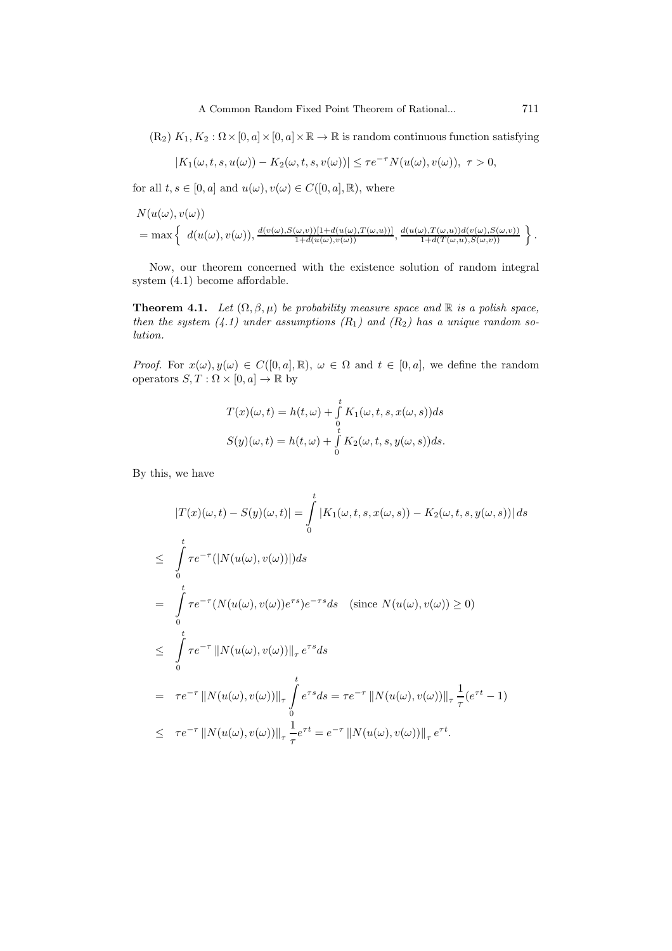$(R_2) K_1, K_2 : \Omega \times [0, a] \times [0, a] \times \mathbb{R} \to \mathbb{R}$  is random continuous function satisfying

$$
|K_1(\omega, t, s, u(\omega)) - K_2(\omega, t, s, v(\omega))| \le \tau e^{-\tau} N(u(\omega), v(\omega)), \ \tau > 0,
$$

for all  $t, s \in [0, a]$  and  $u(\omega), v(\omega) \in C([0, a], \mathbb{R})$ , where

$$
N(u(\omega), v(\omega)) = \max \left\{ d(u(\omega), v(\omega)), \frac{d(v(\omega), S(\omega, v))[1+d(u(\omega), T(\omega, u))]}{1+d(u(\omega), v(\omega))}, \frac{d(u(\omega), T(\omega, u))d(v(\omega), S(\omega, v))}{1+d(T(\omega, u), S(\omega, v))} \right\}.
$$

Now, our theorem concerned with the existence solution of random integral system (4.1) become affordable.

**Theorem 4.1.** Let  $(\Omega, \beta, \mu)$  be probability measure space and  $\mathbb{R}$  is a polish space, then the system (4.1) under assumptions  $(R_1)$  and  $(R_2)$  has a unique random solution.

*Proof.* For  $x(\omega), y(\omega) \in C([0, a], \mathbb{R}), \omega \in \Omega$  and  $t \in [0, a],$  we define the random operators  $S, T : \Omega \times [0, a] \to \mathbb{R}$  by

$$
T(x)(\omega, t) = h(t, \omega) + \int_{0}^{t} K_1(\omega, t, s, x(\omega, s)) ds
$$
  

$$
S(y)(\omega, t) = h(t, \omega) + \int_{0}^{t} K_2(\omega, t, s, y(\omega, s)) ds.
$$

By this, we have

$$
|T(x)(\omega, t) - S(y)(\omega, t)| = \int_{0}^{t} |K_1(\omega, t, s, x(\omega, s)) - K_2(\omega, t, s, y(\omega, s))| ds
$$
  
\n
$$
\leq \int_{0}^{t} \tau e^{-\tau} (|N(u(\omega), v(\omega))|) ds
$$
  
\n
$$
= \int_{0}^{t} \tau e^{-\tau} (N(u(\omega), v(\omega))e^{\tau s})e^{-\tau s} ds \quad \text{(since } N(u(\omega), v(\omega)) \geq 0)
$$
  
\n
$$
\leq \int_{0}^{t} \tau e^{-\tau} ||N(u(\omega), v(\omega))||_{\tau} e^{\tau s} ds
$$
  
\n
$$
= \tau e^{-\tau} ||N(u(\omega), v(\omega))||_{\tau} \int_{0}^{t} e^{\tau s} ds = \tau e^{-\tau} ||N(u(\omega), v(\omega))||_{\tau} \frac{1}{\tau} (e^{\tau t} - 1)
$$
  
\n
$$
\leq \tau e^{-\tau} ||N(u(\omega), v(\omega))||_{\tau} \frac{1}{\tau} e^{\tau t} = e^{-\tau} ||N(u(\omega), v(\omega))||_{\tau} e^{\tau t}.
$$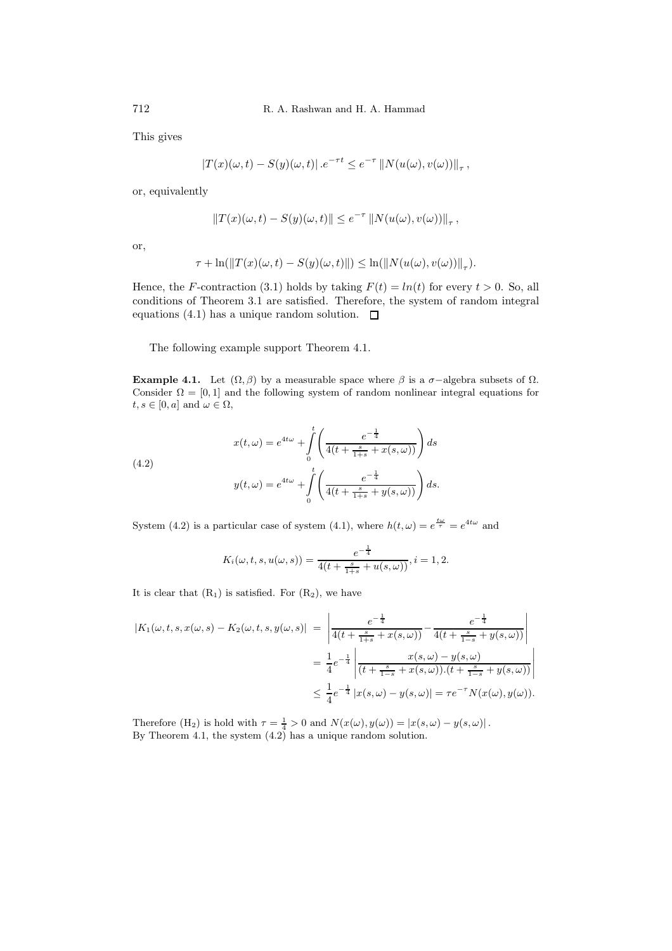This gives

$$
|T(x)(\omega,t) - S(y)(\omega,t)| \cdot e^{-\tau t} \le e^{-\tau} ||N(u(\omega),v(\omega))||_{\tau},
$$

or, equivalently

$$
||T(x)(\omega, t) - S(y)(\omega, t)|| \le e^{-\tau} ||N(u(\omega), v(\omega))||_{\tau},
$$

or,

$$
\tau + \ln(||T(x)(\omega, t) - S(y)(\omega, t)||) \leq \ln(||N(u(\omega), v(\omega))||_{\tau}).
$$

Hence, the F-contraction (3.1) holds by taking  $F(t) = ln(t)$  for every  $t > 0$ . So, all conditions of Theorem 3.1 are satisfied. Therefore, the system of random integral equations (4.1) has a unique random solution.  $\square$ 

The following example support Theorem 4.1.

**Example 4.1.** Let  $(\Omega, \beta)$  by a measurable space where  $\beta$  is a  $\sigma$ -algebra subsets of  $\Omega$ . Consider  $\Omega = [0, 1]$  and the following system of random nonlinear integral equations for  $t, s \in [0, a]$  and  $\omega \in \Omega$ ,

(4.2)  

$$
x(t,\omega) = e^{4t\omega} + \int_0^t \left( \frac{e^{-\frac{1}{4}}}{4(t + \frac{s}{1+s} + x(s,\omega))} \right) ds
$$

$$
y(t,\omega) = e^{4t\omega} + \int_0^t \left( \frac{e^{-\frac{1}{4}}}{4(t + \frac{s}{1+s} + y(s,\omega))} \right) ds.
$$

System (4.2) is a particular case of system (4.1), where  $h(t,\omega) = e^{\frac{t\omega}{\tau}} = e^{4t\omega}$  and

$$
K_i(\omega, t, s, u(\omega, s)) = \frac{e^{-\frac{1}{4}}}{4(t + \frac{s}{1+s} + u(s, \omega))}, i = 1, 2.
$$

It is clear that  $(R_1)$  is satisfied. For  $(R_2)$ , we have

$$
|K_1(\omega, t, s, x(\omega, s) - K_2(\omega, t, s, y(\omega, s))| = \left| \frac{e^{-\frac{1}{4}}}{4(t + \frac{s}{1+s} + x(s, \omega))} - \frac{e^{-\frac{1}{4}}}{4(t + \frac{s}{1-s} + y(s, \omega))} \right|
$$
  

$$
= \frac{1}{4} e^{-\frac{1}{4}} \left| \frac{x(s, \omega) - y(s, \omega)}{(t + \frac{s}{1-s} + x(s, \omega)) \cdot (t + \frac{s}{1-s} + y(s, \omega))} \right|
$$
  

$$
\leq \frac{1}{4} e^{-\frac{1}{4}} |x(s, \omega) - y(s, \omega)| = \tau e^{-\tau} N(x(\omega), y(\omega)).
$$

Therefore (H<sub>2</sub>) is hold with  $\tau = \frac{1}{4} > 0$  and  $N(x(\omega), y(\omega)) = |x(s, \omega) - y(s, \omega)|$ . By Theorem 4.1, the system (4.2) has a unique random solution.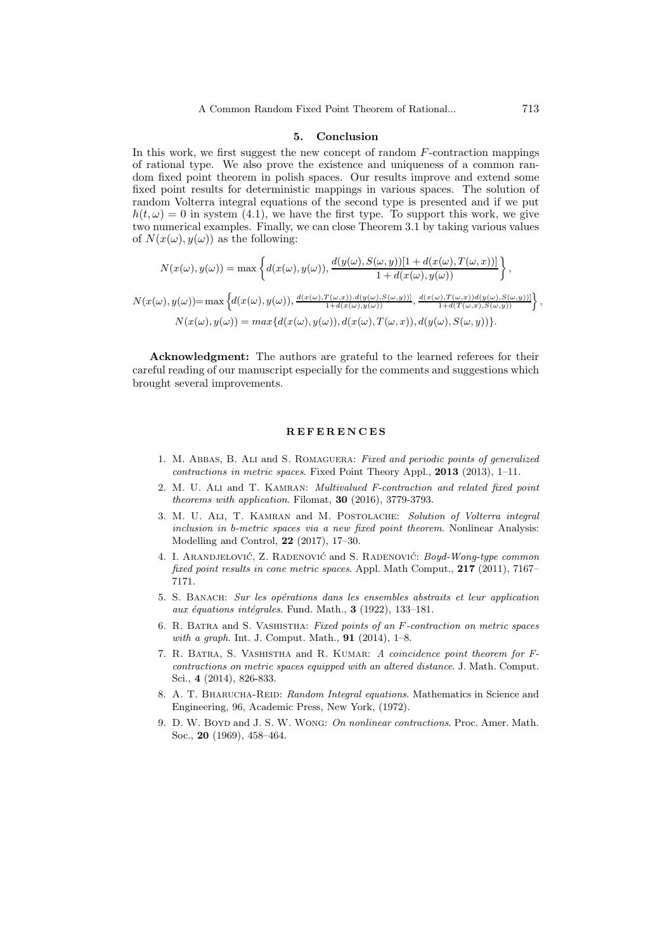#### 5. Conclusion

In this work, we first suggest the new concept of random F-contraction mappings of rational type. We also prove the existence and uniqueness of a common random fixed point theorem in polish spaces. Our results improve and extend some fixed point results for deterministic mappings in various spaces. The solution of random Volterra integral equations of the second type is presented and if we put  $h(t, \omega) = 0$  in system (4.1), we have the first type. To support this work, we give two numerical examples. Finally, we can close Theorem 3.1 by taking various values of  $N(x(\omega), y(\omega))$  as the following:

$$
N(x(\omega), y(\omega)) = \max \left\{ d(x(\omega), y(\omega)), \frac{d(y(\omega), S(\omega, y))[1 + d(x(\omega), T(\omega, x))]}{1 + d(x(\omega), y(\omega))} \right\},
$$
  

$$
N(x(\omega), y(\omega)) = \max \left\{ d(x(\omega), y(\omega)), \frac{d(x(\omega), T(\omega, x)).d(y(\omega), S(\omega, y))]}{1 + d(x(\omega), y(\omega))}, \frac{d(x(\omega), T(\omega, x))d(y(\omega), S(\omega, y))}{1 + d(T(\omega, x), S(\omega, y))} \right\},
$$
  

$$
N(x(\omega), y(\omega)) = \max \{ d(x(\omega), y(\omega)), d(x(\omega), T(\omega, x)), d(y(\omega), S(\omega, y)) \}.
$$

Acknowledgment: The authors are grateful to the learned referees for their careful reading of our manuscript especially for the comments and suggestions which brought several improvements.

#### **REFERENCES**

- 1. M. Abbas, B. Ali and S. Romaguera: Fixed and periodic points of generalized contractions in metric spaces. Fixed Point Theory Appl.,  $2013$  (2013), 1–11.
- 2. M. U. Ali and T. Kamran: Multivalued F-contraction and related fixed point theorems with application. Filomat, 30 (2016), 3779-3793.
- 3. M. U. Ali, T. Kamran and M. Postolache: Solution of Volterra integral inclusion in b-metric spaces via a new fixed point theorem. Nonlinear Analysis: Modelling and Control, 22 (2017), 17–30.
- 4. I. ARANDJELOVIĆ, Z. RADENOVIĆ and S. RADENOVIĆ: Boyd-Wong-type common fixed point results in cone metric spaces. Appl. Math Comput., 217 (2011), 7167– 7171.
- 5. S. Banach: Sur les op´erations dans les ensembles abstraits et leur application aux équations intégrales. Fund. Math.,  $3$  (1922), 133-181.
- 6. R. Batra and S. Vashistha: Fixed points of an F-contraction on metric spaces with a graph. Int. J. Comput. Math.,  $91$  (2014), 1–8.
- 7. R. BATRA, S. VASHISTHA and R. KUMAR: A coincidence point theorem for Fcontractions on metric spaces equipped with an altered distance. J. Math. Comput. Sci., 4 (2014), 826-833.
- 8. A. T. BHARUCHA-REID: Random Integral equations. Mathematics in Science and Engineering, 96, Academic Press, New York, (1972).
- 9. D. W. Boyd and J. S. W. Wong: On nonlinear contractions. Proc. Amer. Math. Soc., 20 (1969), 458–464.